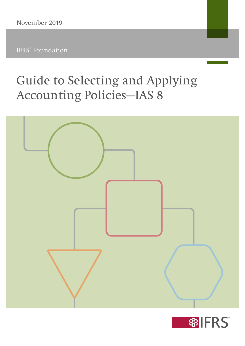# Guide to Selecting and Applying Accounting Policies—IAS 8



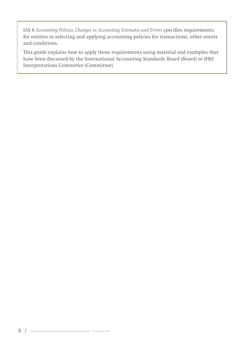IAS 8 *Accounting Policies, Changes in Accounting Estimates and Errors* specifies requirements for entities in selecting and applying accounting policies for transactions, other events and conditions.

This guide explains how to apply those requirements using material and examples that have been discussed by the International Accounting Standards Board (Board) or IFRS Interpretations Committee (Committee).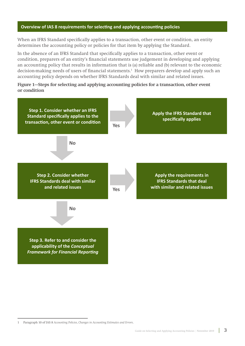## **Overview of IAS 8 requirements for selecting and applying accounting policies**

When an IFRS Standard specifically applies to a transaction, other event or condition, an entity determines the accounting policy or policies for that item by applying the Standard.

In the absence of an IFRS Standard that specifically applies to a transaction, other event or condition, preparers of an entity's financial statements use judgement in developing and applying an accounting policy that results in information that is (a) reliable and (b) relevant to the economic decision-making needs of users of financial statements.1 How preparers develop and apply such an accounting policy depends on whether IFRS Standards deal with similar and related issues.

**Figure 1—Steps for selecting and applying accounting policies for a transaction, other event or condition**



<sup>1</sup> Paragraph 10 of IAS 8 *Accounting Policies, Changes in Accounting Estimates and Errors*.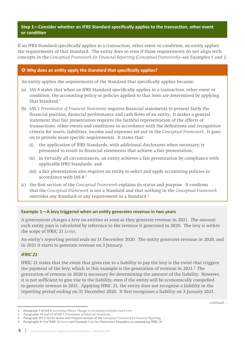## **Step 1—Consider whether an IFRS Standard specifically applies to the transaction, other event or condition**

If an IFRS Standard specifically applies to a transaction, other event or condition, an entity applies the requirements of that Standard. The entity does so even if those requirements do not align with concepts in the *Conceptual Framework for Financial Reporting* (*Conceptual Framework*)—see Examples 1 and 2.

## **Why does an entity apply the Standard that specifically applies?**

An entity applies the requirements of the Standard that specifically applies because:

- (a) IAS 8 states that when an IFRS Standard specifically applies to a transaction, other event or condition, the accounting policy or policies applied to that item are determined by applying that Standard.2
- (b) IAS 1 *Presentation of Financial Statements* requires financial statements to present fairly the financial position, financial performance and cash flows of an entity. It makes a general statement that fair presentation requires the faithful representation of the effects of transactions, other events and conditions in accordance with the definitions and recognition criteria for assets, liabilities, income and expenses set out in the *Conceptual Framework*. It goes on to provide more specific requirements. It states that:
	- (i) the application of IFRS Standards, with additional disclosures when necessary, is presumed to result in financial statements that achieve a fair presentation;
	- (ii) in virtually all circumstances, an entity achieves a fair presentation by compliance with applicable IFRS Standards; and
	- (iii) a fair presentation also requires an entity to select and apply accounting policies in accordance with IAS 8.3
- (c) the first section of the *Conceptual Framework* explains its status and purpose. It confirms that the *Conceptual Framework* is not a Standard and that nothing in the *Conceptual Framework*  overrides any Standard or any requirement in a Standard.4

## **Example 1—A levy triggered when an entity generates revenue in two years**

A government charges a levy on entities as soon as they generate revenue in 2021. The amount each entity pays is calculated by reference to the revenue it generated in 2020. The levy is within the scope of IFRIC 21 *Levies*.

An entity's reporting period ends on 31 December 2020. The entity generates revenue in 2020, and in 2021 it starts to generate revenue on 3 January.

## *IFRIC 21*

IFRIC 21 states that the event that gives rise to a liability to pay the levy is the event that triggers the payment of the levy, which in this example is the generation of revenue in 2021.<sup>5</sup> The generation of revenue in 2020 is necessary for determining the amount of the liability. However, it is not sufficient to give rise to the liability, even if the entity will be economically compelled to generate revenue in 2021. Applying IFRIC 21, the entity does not recognise a liability in the reporting period ending on 31 December 2020. It first recognises a liability on 3 January 2021.

<sup>2</sup> Paragraph 7 of IAS 8 *Accounting Policies, Changes in Accounting Estimates and Errors*.

<sup>3</sup> Paragraphs 15 and 17 of IAS 1 *Presentation of Financial Statements*.

<sup>4</sup> Paragraph SP1.2 in the Status and Purpose section of the *Conceptual Framework for Financial Reporting*.

<sup>5</sup> Paragraphs 8–9 of IFRIC 21 *Levies* and Example 2 in the Illustrative Examples accompanying IFRIC 21.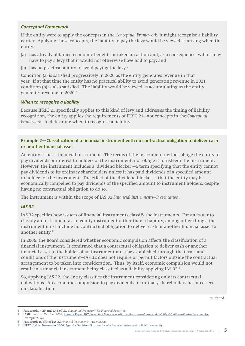## *Conceptual Framework*

If the entity were to apply the concepts in the *Conceptual Framework*, it might recognise a liability earlier. Applying those concepts, the liability to pay the levy would be viewed as arising when the entity:

- (a) has already obtained economic benefits or taken an action and, as a consequence, will or may have to pay a levy that it would not otherwise have had to pay; and
- (b) has no practical ability to avoid paying the levy.6

Condition (a) is satisfied progressively in 2020 as the entity generates revenue in that year. If at that time the entity has no practical ability to avoid generating revenue in 2021, condition (b) is also satisfied. The liability would be viewed as accumulating as the entity generates revenue in 2020.7

## *When to recognise a liability*

Because IFRIC 21 specifically applies to this kind of levy and addresses the timing of liability recognition, the entity applies the requirements of IFRIC 21—not concepts in the *Conceptual Framework*—to determine when to recognise a liability.

## **Example 2—Classification of a financial instrument with no contractual obligation to deliver cash or another financial asset**

An entity issues a financial instrument. The terms of the instrument neither oblige the entity to pay dividends or interest to holders of the instrument, nor oblige it to redeem the instrument. However, the instrument includes a 'dividend blocker'—a term specifying that the entity cannot pay dividends to its ordinary shareholders unless it has paid dividends of a specified amount to holders of the instrument. The effect of the dividend blocker is that the entity may be economically compelled to pay dividends of the specified amount to instrument holders, despite having no contractual obligation to do so.

The instrument is within the scope of IAS 32 *Financial Instruments—Presentation*.

## *IAS 32*

IAS 32 specifies how issuers of financial instruments classify the instruments. For an issuer to classify an instrument as an equity instrument rather than a liability, among other things, the instrument must include no contractual obligation to deliver cash or another financial asset to another entity.8

In 2006, the Board considered whether economic compulsion affects the classification of a financial instrument. It confirmed that a contractual obligation to deliver cash or another financial asset to the holder of an instrument must be established through the terms and conditions of the instrument—IAS 32 does not require or permit factors outside the contractual arrangement to be taken into consideration. Thus, by itself, economic compulsion would not result in a financial instrument being classified as a liability applying IAS 32.9

So, applying IAS 32, the entity classifies the instrument considering only its contractual obligations. An economic compulsion to pay dividends to ordinary shareholders has no effect on classification.

<sup>6</sup> Paragraphs 4.29 and 4.43 of the *Conceptual Framework for Financial Reporting*.

<sup>7</sup> IASB meeting, October 2016, Agenda Paper 10C *[Conceptual Framework—Testing the proposed asset and liability definitions—illustrative examples](https://www.ifrs.org/-/media/feature/meetings/2016/october/iasb/conceptual-framework/ap10c-testing-proposed-asset-liability-definitions-illustrative-examples.pdf)*, Example 2.5(a).

<sup>8</sup> Paragraph 16(a)(i) of IAS 32 *Financial Instruments—Presentation*.

<sup>9</sup> IFRIC *Update*, November 2006, Agenda Decision *[Classification of a financial instrument as liability or equity](https://www.ifrs.org/-/media/feature/news/updates/ifrs-ic/2006/november-2006-ifric-update.pdf)*.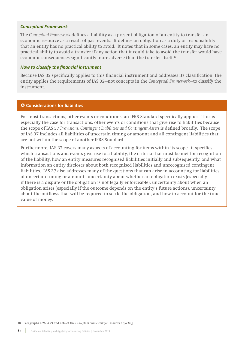#### *Conceptual Framework*

The *Conceptual Framework* defines a liability as a present obligation of an entity to transfer an economic resource as a result of past events. It defines an obligation as a duty or responsibility that an entity has no practical ability to avoid. It notes that in some cases, an entity may have no practical ability to avoid a transfer if any action that it could take to avoid the transfer would have economic consequences significantly more adverse than the transfer itself.<sup>10</sup>

#### *How to classify the financial instrument*

Because IAS 32 specifically applies to this financial instrument and addresses its classification, the entity applies the requirements of IAS 32—not concepts in the *Conceptual Framework*—to classify the instrument.

## **Considerations for liabilities**

For most transactions, other events or conditions, an IFRS Standard specifically applies. This is especially the case for transactions, other events or conditions that give rise to liabilities because the scope of IAS 37 *Provisions, Contingent Liabilities and Contingent Assets* is defined broadly. The scope of IAS 37 includes all liabilities of uncertain timing or amount and all contingent liabilities that are not within the scope of another IFRS Standard.

Furthermore, IAS 37 covers many aspects of accounting for items within its scope—it specifies which transactions and events give rise to a liability, the criteria that must be met for recognition of the liability, how an entity measures recognised liabilities initially and subsequently, and what information an entity discloses about both recognised liabilities and unrecognised contingent liabilities. IAS 37 also addresses many of the questions that can arise in accounting for liabilities of uncertain timing or amount—uncertainty about whether an obligation exists (especially if there is a dispute or the obligation is not legally enforceable), uncertainty about when an obligation arises (especially if the outcome depends on the entity's future actions), uncertainty about the outflows that will be required to settle the obligation, and how to account for the time value of money.

<sup>10</sup> Paragraphs 4.26, 4.29 and 4.34 of the *Conceptual Framework for Financial Reporting*.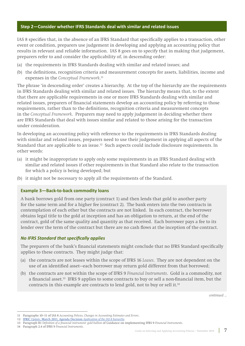## **Step 2—Consider whether IFRS Standards deal with similar and related issues**

IAS 8 specifies that, in the absence of an IFRS Standard that specifically applies to a transaction, other event or condition, preparers use judgement in developing and applying an accounting policy that results in relevant and reliable information. IAS 8 goes on to specify that in making that judgement, preparers refer to and consider the applicability of, in descending order:

- (a) the requirements in IFRS Standards dealing with similar and related issues; and
- (b) the definitions, recognition criteria and measurement concepts for assets, liabilities, income and expenses in the *Conceptual Framework*. 11

The phrase 'in descending order' creates a hierarchy. At the top of the hierarchy are the requirements in IFRS Standards dealing with similar and related issues. The hierarchy means that, to the extent that there are applicable requirements in one or more IFRS Standards dealing with similar and related issues, preparers of financial statements develop an accounting policy by referring to those requirements, rather than to the definitions, recognition criteria and measurement concepts in the *Conceptual Framework*. Preparers may need to apply judgement in deciding whether there are IFRS Standards that deal with issues similar and related to those arising for the transaction under consideration.

In developing an accounting policy with reference to the requirements in IFRS Standards dealing with similar and related issues, preparers need to use their judgement in applying all aspects of the Standard that are applicable to an issue.<sup>12</sup> Such aspects could include disclosure requirements. In other words:

- (a) it might be inappropriate to apply only some requirements in an IFRS Standard dealing with similar and related issues if other requirements in that Standard also relate to the transaction for which a policy is being developed; but
- (b) it might not be necessary to apply all the requirements of the Standard.

#### **Example 3—Back-to-back commodity loans**

A bank borrows gold from one party (contract 1) and then lends that gold to another party for the same term and for a higher fee (contract 2). The bank enters into the two contracts in contemplation of each other but the contracts are not linked. In each contract, the borrower obtains legal title to the gold at inception and has an obligation to return, at the end of the contract, gold of the same quality and quantity as that received. Each borrower pays a fee to its lender over the term of the contract but there are no cash flows at the inception of the contract.

#### *No IFRS Standard that specifically applies*

The preparers of the bank's financial statements might conclude that no IFRS Standard specifically applies to these contracts. They might judge that:

- (a) the contracts are not leases within the scope of IFRS 16 *Leases*. They are not dependent on the use of an identified asset—each borrower may return gold different from that borrowed;
- (b) the contracts are not within the scope of IFRS 9 *Financial Instruments*. Gold is a commodity, not a financial asset.<sup>13</sup> IFRS 9 applies to some contracts to buy or sell a non-financial item, but the contracts in this example are contracts to lend gold, not to buy or sell it.<sup>14</sup>

<sup>11</sup> Paragraphs 10–11 of IAS 8 *Accounting Policies, Changes in Accounting Estimates and Errors*.

<sup>12</sup> IFRIC *Update*[, March 2011, Agenda Decision](https://www.ifrs.org/-/media/feature/news/updates/ifrs-ic/2011/ifricupdatemar11.pdf) *Application of the IAS 8 hierarchy*.

<sup>13</sup> Paragraph B1 *Definition of a financial instrument: gold bullion* of Guidance on implementing IFRS 9 *Financial Instruments*.

<sup>14</sup> Paragraph 2.4 of IFRS 9 *Financial Instruments*.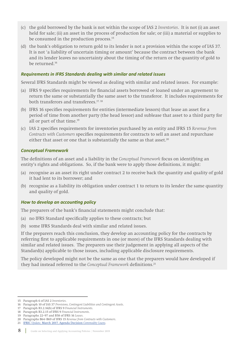- (c) the gold borrowed by the bank is not within the scope of IAS 2 *Inventories*. It is not (i) an asset held for sale; (ii) an asset in the process of production for sale; or (iii) a material or supplies to be consumed in the production process.<sup>15</sup>
- (d) the bank's obligation to return gold to its lender is not a provision within the scope of IAS 37. It is not 'a liability of uncertain timing or amount' because the contract between the bank and its lender leaves no uncertainty about the timing of the return or the quantity of gold to be returned.16

## *Requirements in IFRS Standards dealing with similar and related issues*

Several IFRS Standards might be viewed as dealing with similar and related issues. For example:

- (a) IFRS 9 specifies requirements for financial assets borrowed or loaned under an agreement to return the same or substantially the same asset to the transferor. It includes requirements for both transferors and transferees.<sup>17, 18</sup>
- (b) IFRS 16 specifies requirements for entities (intermediate lessors) that lease an asset for a period of time from another party (the head lessor) and sublease that asset to a third party for all or part of that time.<sup>19</sup>
- (c) IAS 2 specifies requirements for inventories purchased by an entity and IFRS 15 *Revenue from Contracts with Customers* specifies requirements for contracts to sell an asset and repurchase either that asset or one that is substantially the same as that asset.<sup>20</sup>

#### *Conceptual Framework*

The definitions of an asset and a liability in the *Conceptual Framework* focus on identifying an entity's rights and obligations. So, if the bank were to apply those definitions, it might:

- (a) recognise as an asset its right under contract 2 to receive back the quantity and quality of gold it had lent to its borrower; and
- (b) recognise as a liability its obligation under contract 1 to return to its lender the same quantity and quality of gold.

#### *How to develop an accounting policy*

The preparers of the bank's financial statements might conclude that:

- (a) no IFRS Standard specifically applies to these contracts; but
- (b) some IFRS Standards deal with similar and related issues.

If the preparers reach this conclusion, they develop an accounting policy for the contracts by referring first to applicable requirements in one (or more) of the IFRS Standards dealing with similar and related issues. The preparers use their judgement in applying all aspects of the Standard(s) applicable to those issues, including applicable disclosure requirements.

The policy developed might not be the same as one that the preparers would have developed if they had instead referred to the *Conceptual Framework* definitions.21

<sup>15</sup> Paragraph 6 of IAS 2 *Inventories*.

<sup>16</sup> Paragraph 10 of IAS 37 *Provisions, Contingent Liabilities and Contingent Assets*.

<sup>17</sup> Paragraph B3.2.16(b) of IFRS 9 *Financial Instruments*.

<sup>18</sup> Paragraph B3.2.15 of IFRS 9 *Financial Instruments*.

<sup>19</sup> Paragraphs 22–97 and B58 of IFRS 16 *Leases*.

<sup>20</sup> Paragraphs B64–B69 of IFRS 15 *Revenue from Contracts with Customers*.

<sup>21</sup> IFRIC *Update*[, March 2017, Agenda Decision](https://www.ifrs.org/-/media/feature/news/updates/ifrs-ic/2017/ifric-update-march-2017.pdf) *Commodity Loans*.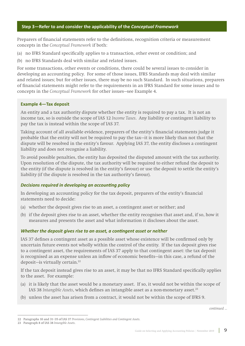## **Step 3—Refer to and consider the applicability of the** *Conceptual Framework*

Preparers of financial statements refer to the definitions, recognition criteria or measurement concepts in the *Conceptual Framework* if both:

- (a) no IFRS Standard specifically applies to a transaction, other event or condition; and
- (b) no IFRS Standards deal with similar and related issues.

For some transactions, other events or conditions, there could be several issues to consider in developing an accounting policy. For some of those issues, IFRS Standards may deal with similar and related issues; but for other issues, there may be no such Standard. In such situations, preparers of financial statements might refer to the requirements in an IFRS Standard for some issues and to concepts in the *Conceptual Framework* for other issues—see Example 4.

#### **Example 4—Tax deposit**

An entity and a tax authority dispute whether the entity is required to pay a tax. It is not an income tax, so is outside the scope of IAS 12 *Income Taxes*. Any liability or contingent liability to pay the tax is instead within the scope of IAS 37.

Taking account of all available evidence, preparers of the entity's financial statements judge it probable that the entity will not be required to pay the tax—it is more likely than not that the dispute will be resolved in the entity's favour. Applying IAS 37, the entity discloses a contingent liability and does not recognise a liability.

To avoid possible penalties, the entity has deposited the disputed amount with the tax authority. Upon resolution of the dispute, the tax authority will be required to either refund the deposit to the entity (if the dispute is resolved in the entity's favour) or use the deposit to settle the entity's liability (if the dispute is resolved in the tax authority's favour).

## *Decisions required in developing an accounting policy*

In developing an accounting policy for the tax deposit, preparers of the entity's financial statements need to decide:

- (a) whether the deposit gives rise to an asset, a contingent asset or neither; and
- (b) if the deposit gives rise to an asset, whether the entity recognises that asset and, if so, how it measures and presents the asset and what information it discloses about the asset.

## *Whether the deposit gives rise to an asset, a contingent asset or neither*

IAS 37 defines a contingent asset as a possible asset whose existence will be confirmed only by uncertain future events not wholly within the control of the entity. If the tax deposit gives rise to a contingent asset, the requirements of IAS 37 apply to that contingent asset: the tax deposit is recognised as an expense unless an inflow of economic benefits—in this case, a refund of the deposit—is virtually certain.22

If the tax deposit instead gives rise to an asset, it may be that no IFRS Standard specifically applies to the asset. For example:

- (a) it is likely that the asset would be a monetary asset. If so, it would not be within the scope of IAS 38 *Intangible Assets*, which defines an intangible asset as a non-monetary asset.<sup>23</sup>
- (b) unless the asset has arisen from a contract, it would not be within the scope of IFRS 9.

<sup>22</sup> Paragraphs 10 and 31–35 of IAS 37 *Provisions, Contingent Liabilities and Contingent Assets*.

<sup>23</sup> Paragraph 8 of IAS 38 *Intangible Assets*.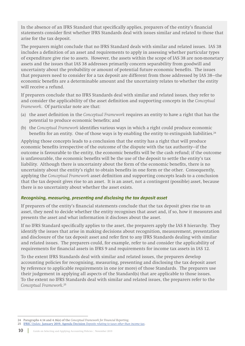In the absence of an IFRS Standard that specifically applies, preparers of the entity's financial statements consider first whether IFRS Standards deal with issues similar and related to those that arise for the tax deposit.

The preparers might conclude that no IFRS Standard deals with similar and related issues. IAS 38 includes a definition of an asset and requirements to apply in assessing whether particular types of expenditure give rise to assets. However, the assets within the scope of IAS 38 are non-monetary assets and the issues that IAS 38 addresses primarily concern separability from goodwill and uncertainty about the probability or amount of potential future economic benefits. The issues that preparers need to consider for a tax deposit are different from those addressed by IAS 38—the economic benefits are a determinable amount and the uncertainty relates to whether the entity will receive a refund.

If preparers conclude that no IFRS Standards deal with similar and related issues, they refer to and consider the applicability of the asset definition and supporting concepts in the *Conceptual Framework*. Of particular note are that:

- (a) the asset definition in the *Conceptual Framework* requires an entity to have a right that has the potential to produce economic benefits; and
- (b) the *Conceptual Framework* identifies various ways in which a right could produce economic benefits for an entity. One of those ways is by enabling the entity to extinguish liabilities.<sup>24</sup>

Applying those concepts leads to a conclusion that the entity has a right that will produce economic benefits irrespective of the outcome of the dispute with the tax authority—if the outcome is favourable to the entity, the economic benefits will be the cash refund; if the outcome is unfavourable, the economic benefits will be the use of the deposit to settle the entity's tax liability. Although there is uncertainty about the form of the economic benefits, there is no uncertainty about the entity's right to obtain benefits in one form or the other. Consequently, applying the *Conceptual Framework* asset definition and supporting concepts leads to a conclusion that the tax deposit gives rise to an asset. It is an asset, not a contingent (possible) asset, because there is no uncertainty about whether the asset exists.

## *Recognising, measuring, presenting and disclosing the tax deposit asset*

If preparers of the entity's financial statements conclude that the tax deposit gives rise to an asset, they need to decide whether the entity recognises that asset and, if so, how it measures and presents the asset and what information it discloses about the asset.

If no IFRS Standard specifically applies to the asset, the preparers apply the IAS 8 hierarchy. They identify the issues that arise in making decisions about recognition, measurement, presentation and disclosure of the tax deposit asset and refer first to any IFRS Standards dealing with similar and related issues. The preparers could, for example, refer to and consider the applicability of requirements for financial assets in IFRS 9 and requirements for income tax assets in IAS 12.

To the extent IFRS Standards deal with similar and related issues, the preparers develop accounting policies for recognising, measuring, presenting and disclosing the tax deposit asset by reference to applicable requirements in one (or more) of those Standards. The preparers use their judgement in applying all aspects of the Standard(s) that are applicable to those issues. To the extent no IFRS Standards deal with similar and related issues, the preparers refer to the *Conceptual Framework*. 25

10 | Guide on Selecting and Applying Accounting Policies | November 2019

<sup>24</sup> Paragraphs 4.14 and 4.16(e) of the *Conceptual Framework for Financial Reporting*.

<sup>25</sup> IFRIC *Update*, January 2019, Agenda Decision *[Deposits relating to taxes other than income tax](https://www.ifrs.org/news-and-events/updates/ifric-updates/january-2019/#1)*.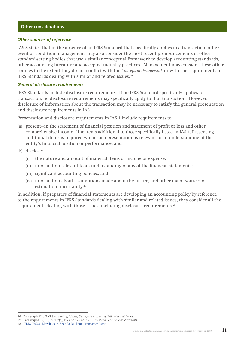#### *Other sources of reference*

IAS 8 states that in the absence of an IFRS Standard that specifically applies to a transaction, other event or condition, management may also consider the most recent pronouncements of other standard-setting bodies that use a similar conceptual framework to develop accounting standards, other accounting literature and accepted industry practices. Management may consider these other sources to the extent they do not conflict with the *Conceptual Framework* or with the requirements in IFRS Standards dealing with similar and related issues.26

#### *General disclosure requirements*

IFRS Standards include disclosure requirements. If no IFRS Standard specifically applies to a transaction, no disclosure requirements may specifically apply to that transaction. However, disclosure of information about the transaction may be necessary to satisfy the general presentation and disclosure requirements in IAS 1.

Presentation and disclosure requirements in IAS 1 include requirements to:

- (a) present—in the statement of financial position and statement of profit or loss and other comprehensive income—line items additional to those specifically listed in IAS 1. Presenting additional items is required when such presentation is relevant to an understanding of the entity's financial position or performance; and
- (b) disclose:
	- (i) the nature and amount of material items of income or expense;
	- (ii) information relevant to an understanding of any of the financial statements;
	- (iii) significant accounting policies; and
	- (iv) information about assumptions made about the future, and other major sources of estimation uncertainty.<sup>27</sup>

In addition, if preparers of financial statements are developing an accounting policy by reference to the requirements in IFRS Standards dealing with similar and related issues, they consider all the requirements dealing with those issues, including disclosure requirements.28

<sup>26</sup> Paragraph 12 of IAS 8 *Accounting Policies, Changes in Accounting Estimates and Errors*.

<sup>27</sup> Paragraphs 55, 85, 97, 112(c), 117 and 125 of IAS 1 *Presentation of Financial Statements*.

<sup>28</sup> IFRIC *Update*[, March 2017, Agenda Decision](https://www.ifrs.org/-/media/feature/news/updates/ifrs-ic/2017/ifric-update-march-2017.pdf) *Commodity Loans*.